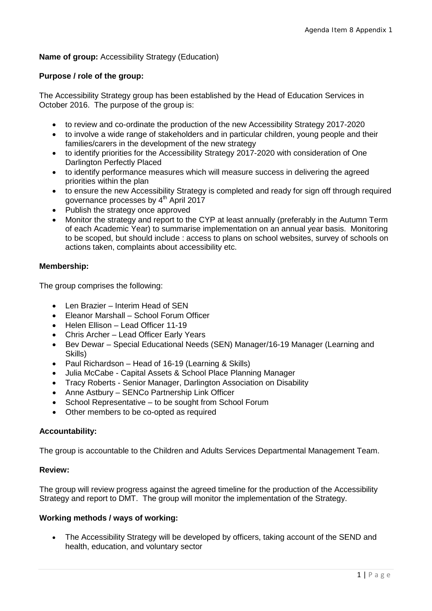# **Name of group:** Accessibility Strategy (Education)

## **Purpose / role of the group:**

The Accessibility Strategy group has been established by the Head of Education Services in October 2016. The purpose of the group is:

- to review and co-ordinate the production of the new Accessibility Strategy 2017-2020
- to involve a wide range of stakeholders and in particular children, young people and their families/carers in the development of the new strategy
- to identify priorities for the Accessibility Strategy 2017-2020 with consideration of One Darlington Perfectly Placed
- to identify performance measures which will measure success in delivering the agreed priorities within the plan
- to ensure the new Accessibility Strategy is completed and ready for sign off through required governance processes by 4<sup>th</sup> April 2017
- Publish the strategy once approved
- Monitor the strategy and report to the CYP at least annually (preferably in the Autumn Term of each Academic Year) to summarise implementation on an annual year basis. Monitoring to be scoped, but should include : access to plans on school websites, survey of schools on actions taken, complaints about accessibility etc.

## **Membership:**

The group comprises the following:

- Len Brazier Interim Head of SEN
- Eleanor Marshall School Forum Officer
- Helen Ellison Lead Officer 11-19
- Chris Archer Lead Officer Early Years
- Bev Dewar Special Educational Needs (SEN) Manager/16-19 Manager (Learning and Skills)
- Paul Richardson Head of 16-19 (Learning & Skills)
- Julia McCabe Capital Assets & School Place Planning Manager
- Tracy Roberts Senior Manager, Darlington Association on Disability
- Anne Astbury SENCo Partnership Link Officer
- School Representative to be sought from School Forum
- Other members to be co-opted as required

# **Accountability:**

The group is accountable to the Children and Adults Services Departmental Management Team.

#### **Review:**

The group will review progress against the agreed timeline for the production of the Accessibility Strategy and report to DMT. The group will monitor the implementation of the Strategy.

# **Working methods / ways of working:**

• The Accessibility Strategy will be developed by officers, taking account of the SEND and health, education, and voluntary sector